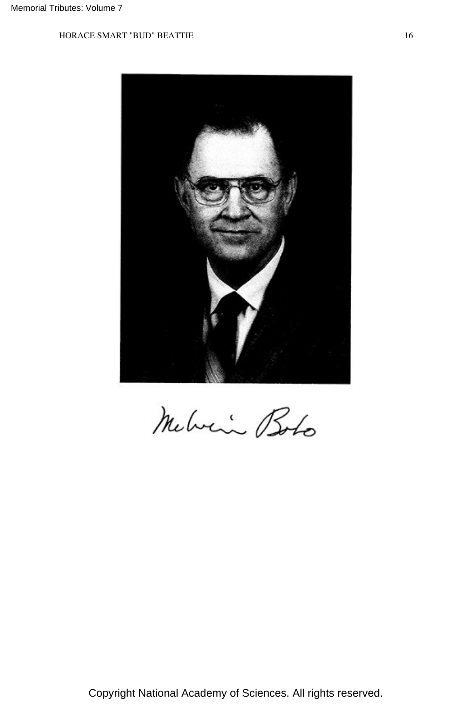## HORACE SMART "BUD" BEATTIE 16



Melvin Boto

Copyright National Academy of Sciences. All rights reserved.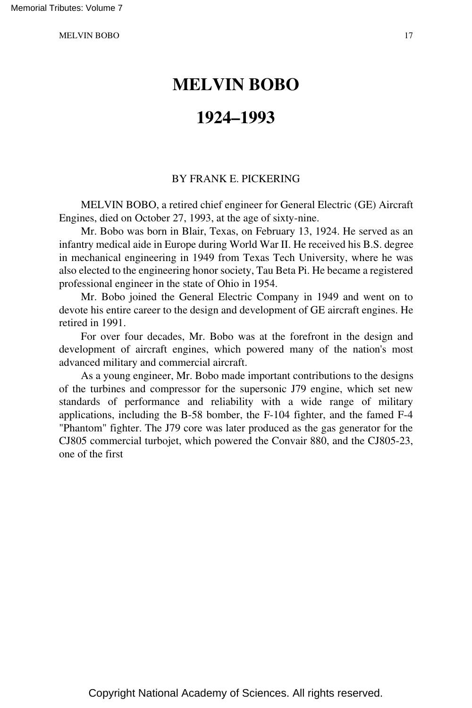MELVIN BOBO 17

# **MELVIN BOBO**

## **1924–1993**

## BY FRANK E. PICKERING

MELVIN BOBO, a retired chief engineer for General Electric (GE) Aircraft Engines, died on October 27, 1993, at the age of sixty-nine.

Mr. Bobo was born in Blair, Texas, on February 13, 1924. He served as an infantry medical aide in Europe during World War II. He received his B.S. degree in mechanical engineering in 1949 from Texas Tech University, where he was also elected to the engineering honor society, Tau Beta Pi. He became a registered professional engineer in the state of Ohio in 1954.

Mr. Bobo joined the General Electric Company in 1949 and went on to devote his entire career to the design and development of GE aircraft engines. He retired in 1991.

For over four decades, Mr. Bobo was at the forefront in the design and development of aircraft engines, which powered many of the nation's most advanced military and commercial aircraft.

As a young engineer, Mr. Bobo made important contributions to the designs of the turbines and compressor for the supersonic J79 engine, which set new standards of performance and reliability with a wide range of military applications, including the B-58 bomber, the F-104 fighter, and the famed F-4 "Phantom" fighter. The J79 core was later produced as the gas generator for the CJ805 commercial turbojet, which powered the Convair 880, and the CJ805-23, one of the first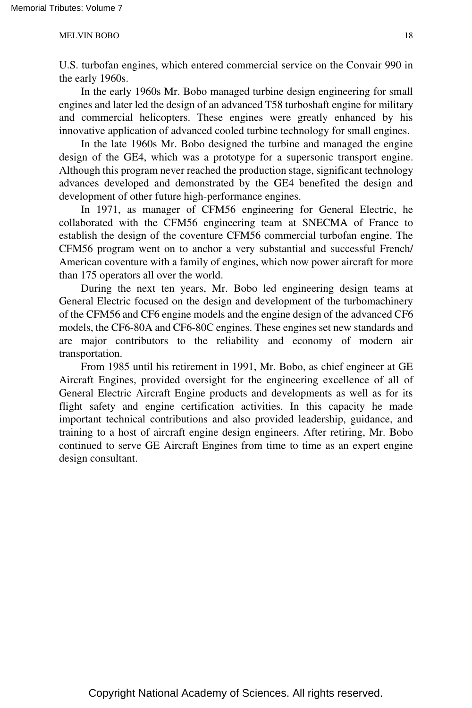### MELVIN BOBO 18

U.S. turbofan engines, which entered commercial service on the Convair 990 in the early 1960s.

In the early 1960s Mr. Bobo managed turbine design engineering for small engines and later led the design of an advanced T58 turboshaft engine for military and commercial helicopters. These engines were greatly enhanced by his innovative application of advanced cooled turbine technology for small engines.

In the late 1960s Mr. Bobo designed the turbine and managed the engine design of the GE4, which was a prototype for a supersonic transport engine. Although this program never reached the production stage, significant technology advances developed and demonstrated by the GE4 benefited the design and development of other future high-performance engines.

In 1971, as manager of CFM56 engineering for General Electric, he collaborated with the CFM56 engineering team at SNECMA of France to establish the design of the coventure CFM56 commercial turbofan engine. The CFM56 program went on to anchor a very substantial and successful French/ American coventure with a family of engines, which now power aircraft for more than 175 operators all over the world.

During the next ten years, Mr. Bobo led engineering design teams at General Electric focused on the design and development of the turbomachinery of the CFM56 and CF6 engine models and the engine design of the advanced CF6 models, the CF6-80A and CF6-80C engines. These engines set new standards and are major contributors to the reliability and economy of modern air transportation.

From 1985 until his retirement in 1991, Mr. Bobo, as chief engineer at GE Aircraft Engines, provided oversight for the engineering excellence of all of General Electric Aircraft Engine products and developments as well as for its flight safety and engine certification activities. In this capacity he made important technical contributions and also provided leadership, guidance, and training to a host of aircraft engine design engineers. After retiring, Mr. Bobo continued to serve GE Aircraft Engines from time to time as an expert engine design consultant.